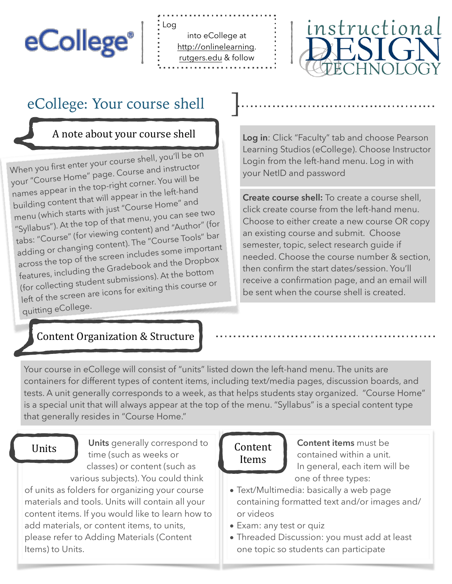# eCollege®

into eCollege at [http://onlinelearning.](http://onlinelearning) [rutgers.edu](http://rutgers.edu) & follow



# eCollege: Your course shell

#### A note about your course shell

When you first enter your course shell, you'll be on your "Course Home" page. Course and instructor names appear in the top-right corner. You will be building content that will appear in the left-han<sup>d</sup> menu (which starts with just "Course Home" and "Syllabus"). At the top of that menu, you can see two tabs: "Course" (for viewing content) and "Author" (for adding or changing content). The "Course Tools" bar across the top of the screen includes some importan<sup>t</sup> features, including the Gradebook and the Dropbox (for collecting student submissions). At the bottom left of the screen are icons for exiting this course or quitting eCollege.

#### Content Organization & Structure

**Log in**: Click "Faculty" tab and choose Pearson Learning Studios (eCollege). Choose Instructor Login from the left-hand menu. Log in with your NetID and password

**Create course shell:** To create a course shell, click create course from the left-hand menu. Choose to either create a new course OR copy an existing course and submit. Choose semester, topic, select research guide if needed. Choose the course number & section, then confirm the start dates/session. You'll receive a confirmation page, and an email will be sent when the course shell is created.

Your course in eCollege will consist of "units" listed down the left-hand menu. The units are containers for different types of content items, including text/media pages, discussion boards, and tests. A unit generally corresponds to a week, as that helps students stay organized. "Course Home" is a special unit that will always appear at the top of the menu. "Syllabus" is a special content type that generally resides in "Course Home."

Units **Units** generally correspond to **Content** time (such as weeks or classes) or content (such as various subjects). You could think of units as folders for organizing your course materials and tools. Units will contain all your content items. If you would like to learn how to add materials, or content items, to units, please refer to Adding Materials (Content Items) to Units.

# Items

**Content items** must be contained within a unit. In general, each item will be one of three types:

- Text/Multimedia: basically a web page containing formatted text and/or images and/ or videos
- Exam: any test or quiz
- Threaded Discussion: you must add at least one topic so students can participate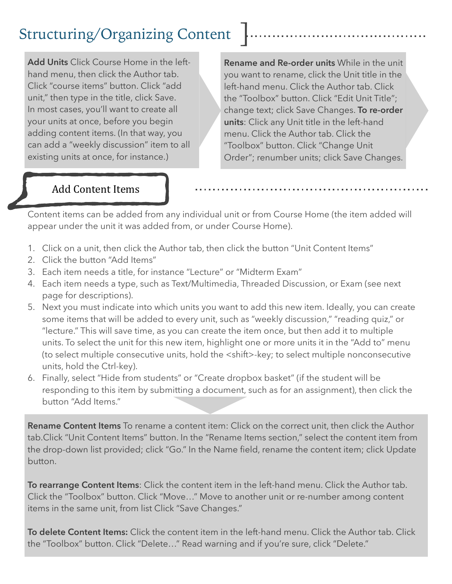# Structuring/Organizing Content

**Add Units** Click Course Home in the lefthand menu, then click the Author tab. Click "course items" button. Click "add unit," then type in the title, click Save. In most cases, you'll want to create all your units at once, before you begin adding content items. (In that way, you can add a "weekly discussion" item to all existing units at once, for instance.)

**Rename and Re-order units** While in the unit you want to rename, click the Unit title in the left-hand menu. Click the Author tab. Click the "Toolbox" button. Click "Edit Unit Title"; change text; click Save Changes. **To re-order units**: Click any Unit title in the left-hand menu. Click the Author tab. Click the "Toolbox" button. Click "Change Unit Order"; renumber units; click Save Changes.

### Add Content Items

Content items can be added from any individual unit or from Course Home (the item added will appear under the unit it was added from, or under Course Home).

- 1. Click on a unit, then click the Author tab, then click the button "Unit Content Items"
- 2. Click the button "Add Items"
- 3. Each item needs a title, for instance "Lecture" or "Midterm Exam"
- 4. Each item needs a type, such as Text/Multimedia, Threaded Discussion, or Exam (see next page for descriptions).
- 5. Next you must indicate into which units you want to add this new item. Ideally, you can create some items that will be added to every unit, such as "weekly discussion," "reading quiz," or "lecture." This will save time, as you can create the item once, but then add it to multiple units. To select the unit for this new item, highlight one or more units it in the "Add to" menu (to select multiple consecutive units, hold the <shift>-key; to select multiple nonconsecutive units, hold the Ctrl-key).
- 6. Finally, select "Hide from students" or "Create dropbox basket" (if the student will be responding to this item by submitting a document, such as for an assignment), then click the button "Add Items."

**Rename Content Items** To rename a content item: Click on the correct unit, then click the Author tab.Click "Unit Content Items" button. In the "Rename Items section," select the content item from the drop-down list provided; click "Go." In the Name field, rename the content item; click Update button.

**To rearrange Content Items**: Click the content item in the left-hand menu. Click the Author tab. Click the "Toolbox" button. Click "Move…" Move to another unit or re-number among content items in the same unit, from list Click "Save Changes."

**To delete Content Items:** Click the content item in the left-hand menu. Click the Author tab. Click the "Toolbox" button. Click "Delete…" Read warning and if you're sure, click "Delete."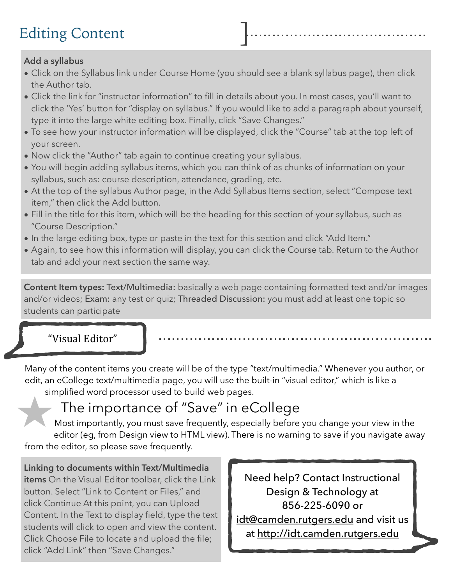# **Editing Content**

#### **Add a syllabus**

- Click on the Syllabus link under Course Home (you should see a blank syllabus page), then click the Author tab.
- Click the link for "instructor information" to fill in details about you. In most cases, you'll want to click the 'Yes' button for "display on syllabus." If you would like to add a paragraph about yourself, type it into the large white editing box. Finally, click "Save Changes."
- To see how your instructor information will be displayed, click the "Course" tab at the top left of your screen.
- Now click the "Author" tab again to continue creating your syllabus.
- You will begin adding syllabus items, which you can think of as chunks of information on your syllabus, such as: course description, attendance, grading, etc.
- At the top of the syllabus Author page, in the Add Syllabus Items section, select "Compose text item," then click the Add button.
- Fill in the title for this item, which will be the heading for this section of your syllabus, such as "Course Description."
- In the large editing box, type or paste in the text for this section and click "Add Item."
- Again, to see how this information will display, you can click the Course tab. Return to the Author tab and add your next section the same way.

**Content Item types:** Text/Multimedia: basically a web page containing formatted text and/or images and/or videos; Exam: any test or quiz; Threaded Discussion: you must add at least one topic so students can participate

#### "Visual Editor"

Many of the content items you create will be of the type "text/multimedia." Whenever you author, or edit, an eCollege text/multimedia page, you will use the built-in "visual editor," which is like a simplified word processor used to build web pages.

# The importance of "Save" in eCollege

Most importantly, you must save frequently, especially before you change your view in the editor (eg, from Design view to HTML view). There is no warning to save if you navigate away from the editor, so please save frequently.

**Linking to documents within Text/Multimedia items** On the Visual Editor toolbar, click the Link button. Select "Link to Content or Files," and click Continue At this point, you can Upload Content. In the Text to display field, type the text students will click to open and view the content. Click Choose File to locate and upload the file; click "Add Link" then "Save Changes."

Need help? Contact Instructional Design & Technology at 856-225-6090 or [idt@camden.rutgers.edu a](mailto:idt@camden.rutgers.edu)nd visit us at <http://idt.camden.rutgers.edu>